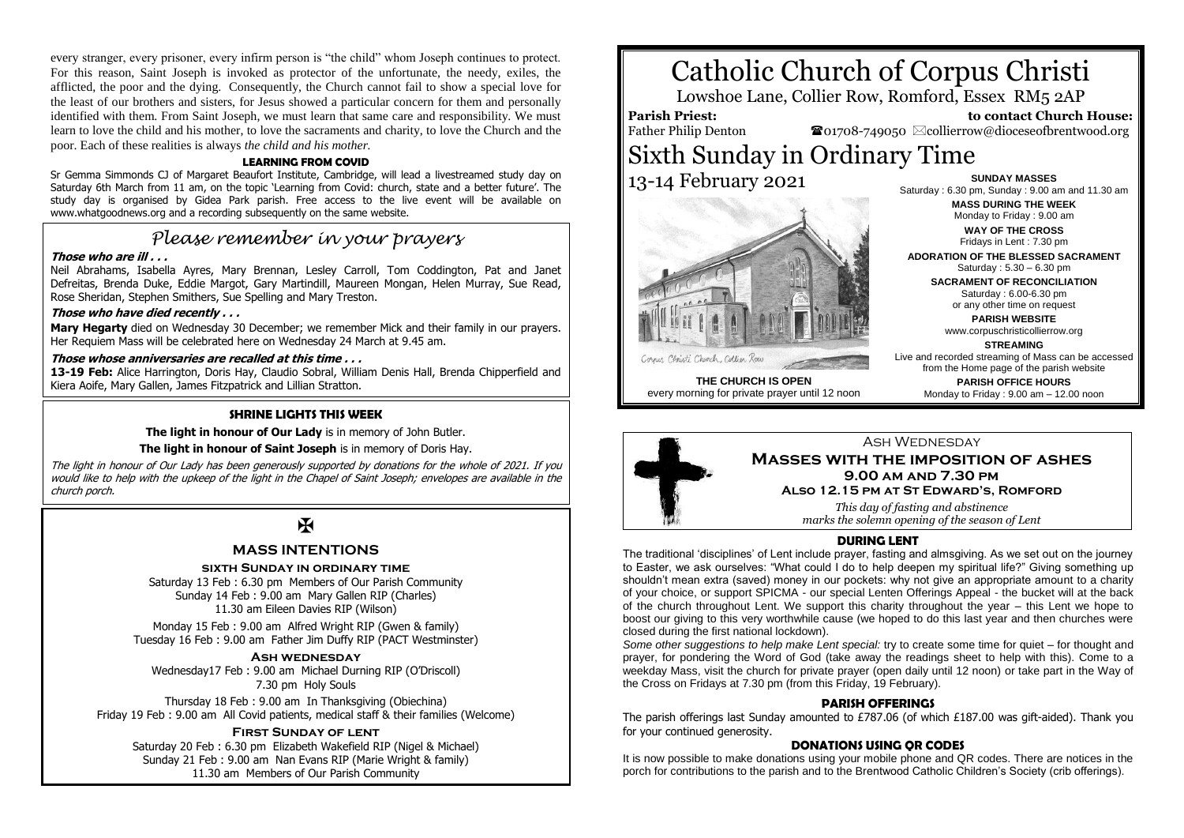every stranger, every prisoner, every infirm person is "the child" whom Joseph continues to protect. For this reason, Saint Joseph is invoked as protector of the unfortunate, the needy, exiles, the afflicted, the poor and the dying. Consequently, the Church cannot fail to show a special love for the least of our brothers and sisters, for Jesus showed a particular concern for them and personally identified with them. From Saint Joseph, we must learn that same care and responsibility. We must learn to love the child and his mother, to love the sacraments and charity, to love the Church and the poor. Each of these realities is always *the child and his mother.*

#### **LEARNING FROM COVID**

Sr Gemma Simmonds CJ of Margaret Beaufort Institute, Cambridge, will lead a livestreamed study day on Saturday 6th March from 11 am, on the topic 'Learning from Covid: church, state and a better future'. The study day is organised by Gidea Park parish. Free access to the live event will be available on www.whatgoodnews.org and a recording subsequently on the same website.

# *Please remember in your prayers*

#### **Those who are ill . . .**

Neil Abrahams, Isabella Ayres, Mary Brennan, Lesley Carroll, Tom Coddington, Pat and Janet Defreitas, Brenda Duke, Eddie Margot, Gary Martindill, Maureen Mongan, Helen Murray, Sue Read, Rose Sheridan, Stephen Smithers, Sue Spelling and Mary Treston.

#### **Those who have died recently . . .**

**Mary Hegarty** died on Wednesday 30 December; we remember Mick and their family in our prayers. Her Requiem Mass will be celebrated here on Wednesday 24 March at 9.45 am.

## **Those whose anniversaries are recalled at this time . . .**

**13-19 Feb:** Alice Harrington, Doris Hay, Claudio Sobral, William Denis Hall, Brenda Chipperfield and Kiera Aoife, Mary Gallen, James Fitzpatrick and Lillian Stratton.

#### **SHRINE LIGHTS THIS WEEK**

**The light in honour of Our Lady** is in memory of John Butler.

#### **The light in honour of Saint Joseph** is in memory of Doris Hay.

The light in honour of Our Lady has been generously supported by donations for the whole of 2021. If you would like to help with the upkeep of the light in the Chapel of Saint Joseph; envelopes are available in the church porch.

# $\overline{M}$

### **MASS INTENTIONS**

#### **sixth Sunday in ordinary time**

Saturday 13 Feb : 6.30 pm Members of Our Parish Community Sunday 14 Feb : 9.00 am Mary Gallen RIP (Charles) 11.30 am Eileen Davies RIP (Wilson)

Monday 15 Feb : 9.00 am Alfred Wright RIP (Gwen & family) Tuesday 16 Feb : 9.00 am Father Jim Duffy RIP (PACT Westminster)

#### **Ash wednesday**

Wednesday17 Feb : 9.00 am Michael Durning RIP (O'Driscoll) 7.30 pm Holy Souls

Thursday 18 Feb : 9.00 am In Thanksgiving (Obiechina) Friday 19 Feb : 9.00 am All Covid patients, medical staff & their families (Welcome)

#### **First Sunday of lent**

Saturday 20 Feb : 6.30 pm Elizabeth Wakefield RIP (Nigel & Michael) Sunday 21 Feb : 9.00 am Nan Evans RIP (Marie Wright & family) 11.30 am Members of Our Parish Community

# Catholic Church of Corpus Christi

Lowshoe Lane, Collier Row, Romford, Essex RM5 2AP

#### **Parish Priest:** Father Philip Denton

 **to contact Church House:**  $\mathbf{\Omega}_{01708\text{-}749050}$   $\boxtimes$  collierrow@dioceseofbrentwood.org

# Sixth Sunday in Ordinary Time 13-14 February 2021



**SUNDAY MASSES** Saturday : 6.30 pm, Sunday : 9.00 am and 11.30 am **MASS DURING THE WEEK** Monday to Friday : 9.00 am **WAY OF THE CROSS**

Fridays in Lent : 7.30 pm **ADORATION OF THE BLESSED SACRAMENT** Saturday : 5.30 – 6.30 pm

**SACRAMENT OF RECONCILIATION** Saturday : 6.00-6.30 pm or any other time on request

> **PARISH WEBSITE** www.corpuschristicollierrow.org

**STREAMING**

Live and recorded streaming of Mass can be accessed from the Home page of the parish website

**PARISH OFFICE HOURS** Monday to Friday : 9.00 am – 12.00 noon

#### **THE CHURCH IS OPEN** every morning for private prayer until 12 noon



*marks the solemn opening of the season of Lent*

#### **DURING LENT**

The traditional 'disciplines' of Lent include prayer, fasting and almsgiving. As we set out on the journey to Easter, we ask ourselves: "What could I do to help deepen my spiritual life?" Giving something up shouldn't mean extra (saved) money in our pockets: why not give an appropriate amount to a charity of your choice, or support SPICMA - our special Lenten Offerings Appeal - the bucket will at the back of the church throughout Lent. We support this charity throughout the year – this Lent we hope to boost our giving to this very worthwhile cause (we hoped to do this last year and then churches were closed during the first national lockdown).

*Some other suggestions to help make Lent special:* try to create some time for quiet – for thought and prayer, for pondering the Word of God (take away the readings sheet to help with this). Come to a weekday Mass, visit the church for private prayer (open daily until 12 noon) or take part in the Way of the Cross on Fridays at 7.30 pm (from this Friday, 19 February).

#### **PARISH OFFERINGS**

The parish offerings last Sunday amounted to £787.06 (of which £187.00 was gift-aided). Thank you for your continued generosity.

#### **DONATIONS USING QR CODES**

It is now possible to make donations using your mobile phone and QR codes. There are notices in the porch for contributions to the parish and to the Brentwood Catholic Children's Society (crib offerings).